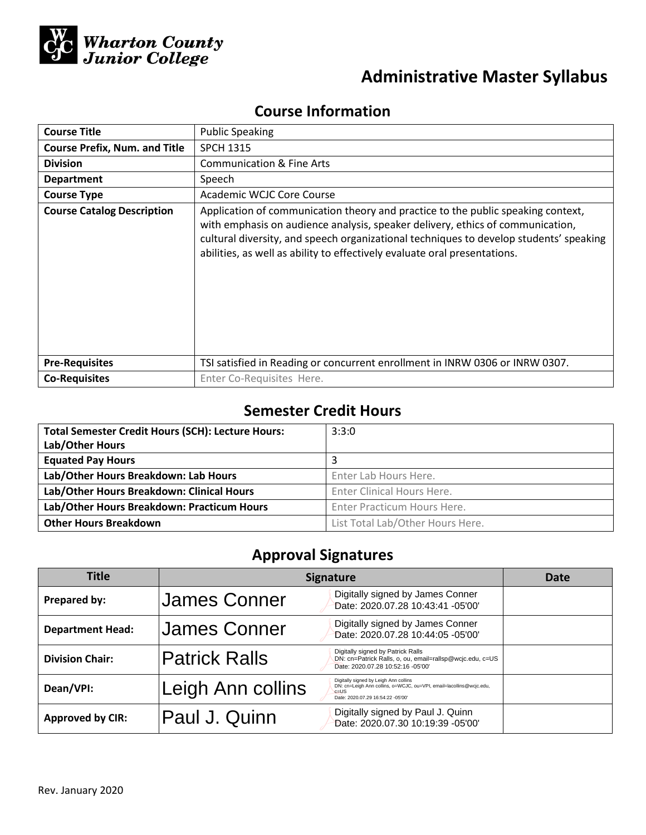

# **Administrative Master Syllabus**

## **Course Information**

| <b>Course Title</b>                  | <b>Public Speaking</b>                                                                                                                                                                                                                                                                                                                    |  |  |
|--------------------------------------|-------------------------------------------------------------------------------------------------------------------------------------------------------------------------------------------------------------------------------------------------------------------------------------------------------------------------------------------|--|--|
| <b>Course Prefix, Num. and Title</b> | <b>SPCH 1315</b>                                                                                                                                                                                                                                                                                                                          |  |  |
| <b>Division</b>                      | <b>Communication &amp; Fine Arts</b>                                                                                                                                                                                                                                                                                                      |  |  |
| <b>Department</b>                    | Speech                                                                                                                                                                                                                                                                                                                                    |  |  |
| <b>Course Type</b>                   | Academic WCJC Core Course                                                                                                                                                                                                                                                                                                                 |  |  |
| <b>Course Catalog Description</b>    | Application of communication theory and practice to the public speaking context,<br>with emphasis on audience analysis, speaker delivery, ethics of communication,<br>cultural diversity, and speech organizational techniques to develop students' speaking<br>abilities, as well as ability to effectively evaluate oral presentations. |  |  |
| <b>Pre-Requisites</b>                | TSI satisfied in Reading or concurrent enrollment in INRW 0306 or INRW 0307.                                                                                                                                                                                                                                                              |  |  |
| <b>Co-Requisites</b>                 | Enter Co-Requisites Here.                                                                                                                                                                                                                                                                                                                 |  |  |

## **Semester Credit Hours**

| <b>Total Semester Credit Hours (SCH): Lecture Hours:</b> | 3:3:0                            |  |
|----------------------------------------------------------|----------------------------------|--|
| Lab/Other Hours                                          |                                  |  |
| <b>Equated Pay Hours</b>                                 |                                  |  |
| Lab/Other Hours Breakdown: Lab Hours                     | Enter Lab Hours Here.            |  |
| Lab/Other Hours Breakdown: Clinical Hours                | Enter Clinical Hours Here.       |  |
| Lab/Other Hours Breakdown: Practicum Hours               | Enter Practicum Hours Here.      |  |
| <b>Other Hours Breakdown</b>                             | List Total Lab/Other Hours Here. |  |

# **Approval Signatures**

| <b>Title</b>            | <b>Signature</b>     | Date                                                                                                                                                          |  |
|-------------------------|----------------------|---------------------------------------------------------------------------------------------------------------------------------------------------------------|--|
| Prepared by:            | James Conner         | Digitally signed by James Conner<br>Date: 2020.07.28 10:43:41 -05'00'                                                                                         |  |
| <b>Department Head:</b> | <b>James Conner</b>  | Digitally signed by James Conner<br>Date: 2020.07.28 10:44:05 -05'00'                                                                                         |  |
| <b>Division Chair:</b>  | <b>Patrick Ralls</b> | Digitally signed by Patrick Ralls<br>DN: cn=Patrick Ralls, o, ou, email=rallsp@wcjc.edu, c=US<br>Date: 2020.07.28 10:52:16 -05'00'                            |  |
| Dean/VPI:               | Leigh Ann collins    | Digitally signed by Leigh Ann collins<br>DN: cn=Leigh Ann collins, o=WCJC, ou=VPI, email=lacollins@wcjc.edu,<br>$c = US$<br>Date: 2020.07.29 16:54:22 -05'00' |  |
| <b>Approved by CIR:</b> | Paul J. Quinn        | Digitally signed by Paul J. Quinn<br>Date: 2020.07.30 10:19:39 -05'00'                                                                                        |  |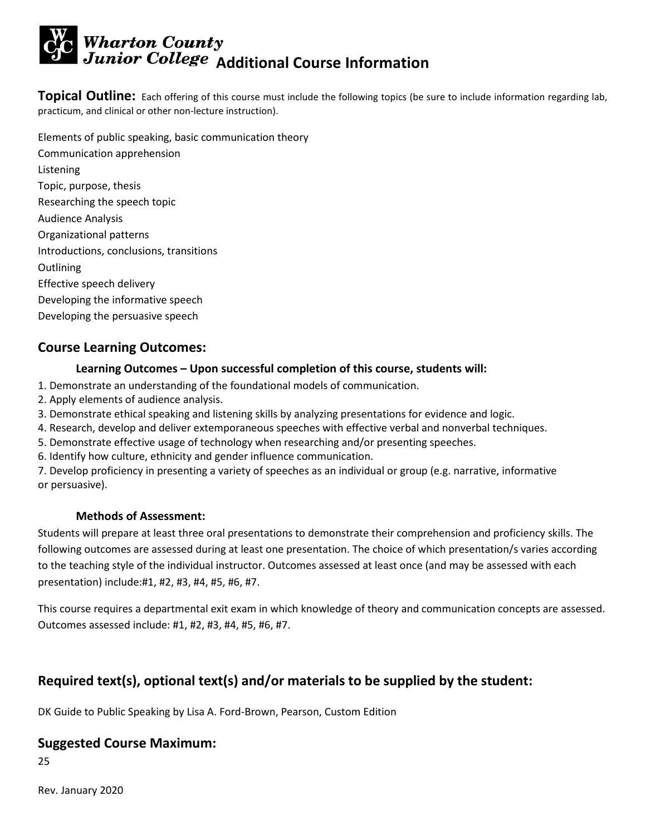# **Wharton County<br>Junior College Additional Course Information**

**Topical Outline:** Each offering of this course must include the following topics (be sure to include information regarding lab, practicum, and clinical or other non-lecture instruction).

Elements of public speaking, basic communication theory Communication apprehension Listening Topic, purpose, thesis Researching the speech topic Audience Analysis Organizational patterns Introductions, conclusions, transitions **Outlining** Effective speech delivery Developing the informative speech Developing the persuasive speech

#### **Course Learning Outcomes:**

#### **Learning Outcomes – Upon successful completion of this course, students will:**

- 1. Demonstrate an understanding of the foundational models of communication.
- 2. Apply elements of audience analysis.
- 3. Demonstrate ethical speaking and listening skills by analyzing presentations for evidence and logic.
- 4. Research, develop and deliver extemporaneous speeches with effective verbal and nonverbal techniques.
- 5. Demonstrate effective usage of technology when researching and/or presenting speeches.
- 6. Identify how culture, ethnicity and gender influence communication.

7. Develop proficiency in presenting a variety of speeches as an individual or group (e.g. narrative, informative or persuasive).

#### **Methods of Assessment:**

Students will prepare at least three oral presentations to demonstrate their comprehension and proficiency skills. The following outcomes are assessed during at least one presentation. The choice of which presentation/s varies according to the teaching style of the individual instructor. Outcomes assessed at least once (and may be assessed with each presentation) include:#1, #2, #3, #4, #5, #6, #7.

This course requires a departmental exit exam in which knowledge of theory and communication concepts are assessed. Outcomes assessed include: #1, #2, #3, #4, #5, #6, #7.

## **Required text(s), optional text(s) and/or materials to be supplied by the student:**

DK Guide to Public Speaking by Lisa A. Ford-Brown, Pearson, Custom Edition

#### **Suggested Course Maximum:**

25

Rev. January 2020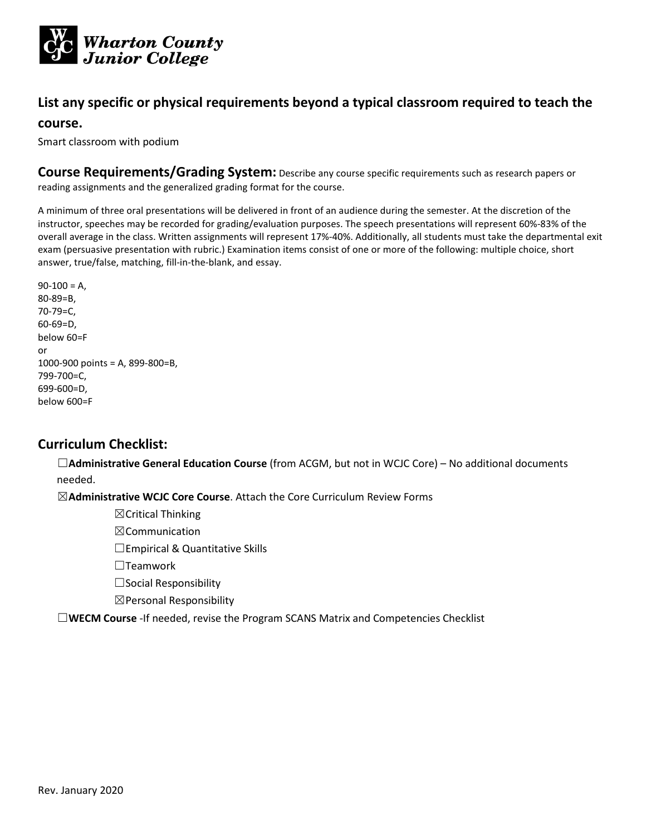

#### **List any specific or physical requirements beyond a typical classroom required to teach the**

#### **course.**

Smart classroom with podium

**Course Requirements/Grading System:** Describe any course specific requirements such as research papers or reading assignments and the generalized grading format for the course.

A minimum of three oral presentations will be delivered in front of an audience during the semester. At the discretion of the instructor, speeches may be recorded for grading/evaluation purposes. The speech presentations will represent 60%-83% of the overall average in the class. Written assignments will represent 17%-40%. Additionally, all students must take the departmental exit exam (persuasive presentation with rubric.) Examination items consist of one or more of the following: multiple choice, short answer, true/false, matching, fill-in-the-blank, and essay.

 $90-100 = A$ 80-89=B, 70-79=C, 60-69=D, below 60=F or 1000-900 points = A, 899-800=B, 799-700=C, 699-600=D, below 600=F

#### **Curriculum Checklist:**

☐**Administrative General Education Course** (from ACGM, but not in WCJC Core) – No additional documents needed.

☒**Administrative WCJC Core Course**. Attach the Core Curriculum Review Forms

 $\boxtimes$ Critical Thinking

 $\boxtimes$ Communication

□Empirical & Quantitative Skills

☐Teamwork

 $\Box$ Social Responsibility

 $\boxtimes$  Personal Responsibility

☐**WECM Course** -If needed, revise the Program SCANS Matrix and Competencies Checklist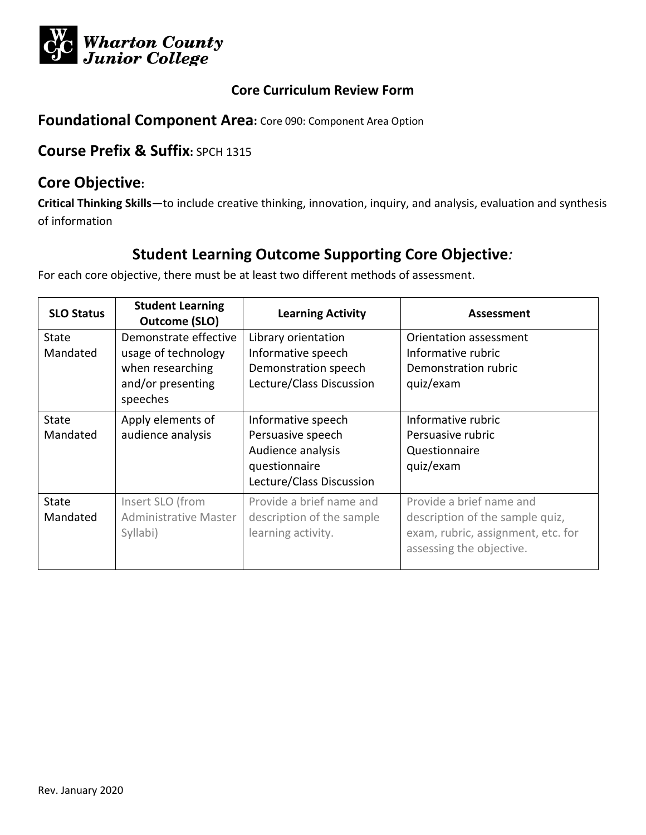

#### **Foundational Component Area:** Core 090: Component Area Option

## **Course Prefix & Suffix:** SPCH 1315

#### **Core Objective:**

**Critical Thinking Skills**—to include creative thinking, innovation, inquiry, and analysis, evaluation and synthesis of information

## **Student Learning Outcome Supporting Core Objective***:*

| <b>SLO Status</b>        | <b>Student Learning</b><br><b>Outcome (SLO)</b>                                                   | <b>Learning Activity</b>                                                                                  | Assessment                                                                                                                    |
|--------------------------|---------------------------------------------------------------------------------------------------|-----------------------------------------------------------------------------------------------------------|-------------------------------------------------------------------------------------------------------------------------------|
| <b>State</b><br>Mandated | Demonstrate effective<br>usage of technology<br>when researching<br>and/or presenting<br>speeches | Library orientation<br>Informative speech<br>Demonstration speech<br>Lecture/Class Discussion             | Orientation assessment<br>Informative rubric<br>Demonstration rubric<br>quiz/exam                                             |
| <b>State</b><br>Mandated | Apply elements of<br>audience analysis                                                            | Informative speech<br>Persuasive speech<br>Audience analysis<br>questionnaire<br>Lecture/Class Discussion | Informative rubric<br>Persuasive rubric<br>Questionnaire<br>quiz/exam                                                         |
| <b>State</b><br>Mandated | Insert SLO (from<br><b>Administrative Master</b><br>Syllabi)                                      | Provide a brief name and<br>description of the sample<br>learning activity.                               | Provide a brief name and<br>description of the sample quiz,<br>exam, rubric, assignment, etc. for<br>assessing the objective. |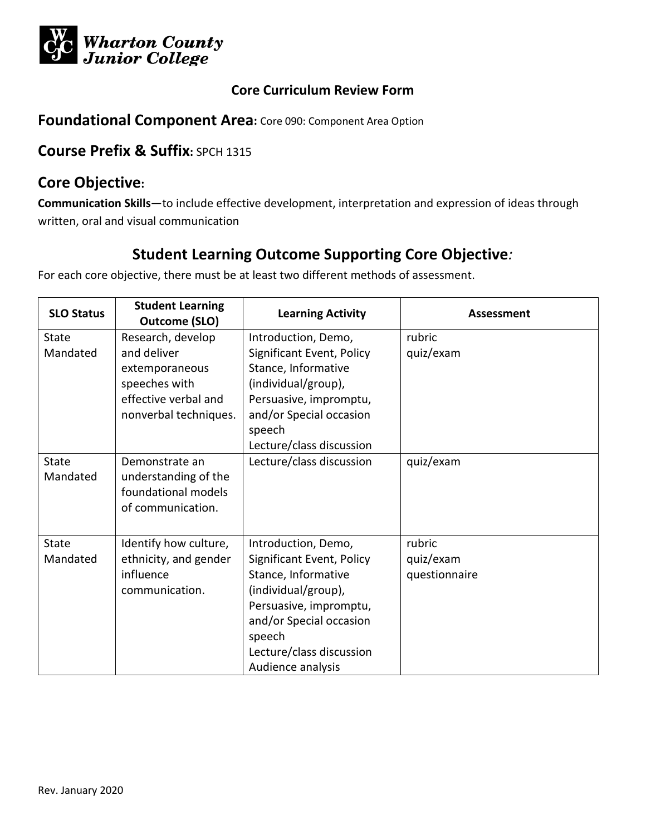

#### **Foundational Component Area:** Core 090: Component Area Option

## **Course Prefix & Suffix:** SPCH 1315

#### **Core Objective:**

**Communication Skills**—to include effective development, interpretation and expression of ideas through written, oral and visual communication

## **Student Learning Outcome Supporting Core Objective***:*

| <b>SLO Status</b>        | <b>Student Learning</b><br><b>Outcome (SLO)</b>                                                                      | <b>Learning Activity</b>                                                                                                                                                                                       | Assessment                           |
|--------------------------|----------------------------------------------------------------------------------------------------------------------|----------------------------------------------------------------------------------------------------------------------------------------------------------------------------------------------------------------|--------------------------------------|
| <b>State</b><br>Mandated | Research, develop<br>and deliver<br>extemporaneous<br>speeches with<br>effective verbal and<br>nonverbal techniques. | Introduction, Demo,<br>Significant Event, Policy<br>Stance, Informative<br>(individual/group),<br>Persuasive, impromptu,<br>and/or Special occasion<br>speech<br>Lecture/class discussion                      | rubric<br>quiz/exam                  |
| State<br>Mandated        | Demonstrate an<br>understanding of the<br>foundational models<br>of communication.                                   | Lecture/class discussion                                                                                                                                                                                       | quiz/exam                            |
| State<br>Mandated        | Identify how culture,<br>ethnicity, and gender<br>influence<br>communication.                                        | Introduction, Demo,<br>Significant Event, Policy<br>Stance, Informative<br>(individual/group),<br>Persuasive, impromptu,<br>and/or Special occasion<br>speech<br>Lecture/class discussion<br>Audience analysis | rubric<br>quiz/exam<br>questionnaire |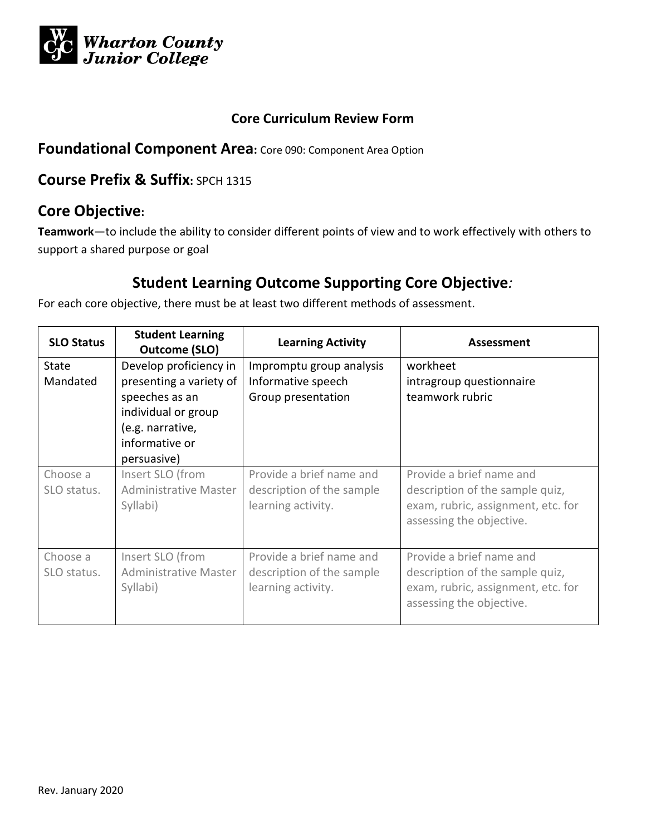

#### **Foundational Component Area:** Core 090: Component Area Option

## **Course Prefix & Suffix:** SPCH 1315

## **Core Objective:**

**Teamwork**—to include the ability to consider different points of view and to work effectively with others to support a shared purpose or goal

## **Student Learning Outcome Supporting Core Objective***:*

| <b>SLO Status</b>        | <b>Student Learning</b><br>Outcome (SLO)                                                                                                        | <b>Learning Activity</b>                                                    | Assessment                                                                                                                    |
|--------------------------|-------------------------------------------------------------------------------------------------------------------------------------------------|-----------------------------------------------------------------------------|-------------------------------------------------------------------------------------------------------------------------------|
| <b>State</b><br>Mandated | Develop proficiency in<br>presenting a variety of<br>speeches as an<br>individual or group<br>(e.g. narrative,<br>informative or<br>persuasive) | Impromptu group analysis<br>Informative speech<br>Group presentation        | workheet<br>intragroup questionnaire<br>teamwork rubric                                                                       |
| Choose a<br>SLO status.  | Insert SLO (from<br>Administrative Master<br>Syllabi)                                                                                           | Provide a brief name and<br>description of the sample<br>learning activity. | Provide a brief name and<br>description of the sample quiz,<br>exam, rubric, assignment, etc. for<br>assessing the objective. |
| Choose a<br>SLO status.  | Insert SLO (from<br><b>Administrative Master</b><br>Syllabi)                                                                                    | Provide a brief name and<br>description of the sample<br>learning activity. | Provide a brief name and<br>description of the sample quiz,<br>exam, rubric, assignment, etc. for<br>assessing the objective. |